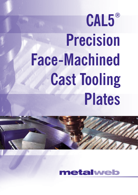# **CAL5® Precision Face-Machined Cast Tooling Plates**



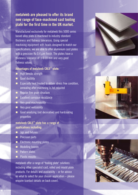## **metalweb are pleased to offer its brand new range of face-machined cast tooling plate for the first time in the UK market.**

Manufactured exclusively for metalweb this 5000 series based alloy plate is machined to industry standard thickness and flatness tolerances. Using special machining equipment with heads designed to match our specifications, we are able to offer aluminium cast plates with a precision Ra 0.4  $\mu$ m finish. The plates have a thickness tolerance of  $\pm 0.10$  mm and very good flatness values.

### **Advantages of metalweb CAL5® plate:**

- $\blacksquare$  High tensile strength
- Good ductility
- $\blacksquare$  Especially heat treated to obtain stress free condition, annealing after machining is not required
- Regular fine grain structure
- **Excellent corrosion resistance**
- $\overline{\phantom{a}}$  Very good machinability
- **Now Very good weldability**
- Good anodizing (not decorative) and hardcoating properties

#### **metalweb CAL5® plate has a range of applications including:**

- **Jigs and fixtures**
- **Precision parts**
- **Electronic mounting plates**
- **Modelling boards**
- **Pattern plates**
- **Plastic moulds**

metalweb offer a range of "tooling plate" solutions including other specialist cast, rolled and mould plate products. For details and availability – or for advice on what to select for your chosen application – please enquire (contact details on back cover).





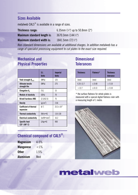## **Sizes Available**

metalweb CAL5® is available in a range of sizes.

| Thickness range:            | 6.35mm $(\frac{1}{4})$ up to 50.8mm (2") |
|-----------------------------|------------------------------------------|
| Maximum standard length is: | 3670.3mm $(144\frac{1}{2})$              |
| Maximum standard width is:  | 1841.5mm $(72\frac{1}{2})$               |

*Non-standard dimensions are available at additional charges. In addition metalweb has a range of specialist processing equipment to cut plates to the exact size required.*

## **Mechanical and Physical Properties**

|                                            | S.L<br><b>Units</b> | <b>Imperial</b><br><b>Units</b> |
|--------------------------------------------|---------------------|---------------------------------|
| Yield strength $R_{0.0.2}$                 | [MPa]               | 125                             |
| Ultimate tensile<br>strength Rm            | [MPa]               | 275                             |
| Elongation $A_{5}$                         | $[\%]$              | 15                              |
| <b>Module of elasticity</b>                | [GPa]               | 70                              |
| <b>Brinell hardness HBS</b>                | [2.5/62.5]          | 75                              |
| Density                                    | $[g/cm^3]$          | 2.66                            |
| <b>Coefficient of thermal</b><br>expansion | $[k^{-1}]$          | $23.3 \times 10^{-6}$           |
| <b>Thermal conductivity</b>                | $[W/m \cdot K]$     | 110-130                         |
| <b>Electrical conductivity</b>             | $[m/W\bullet mm^2]$ | 16.2                            |
| <b>Specific heat</b><br>(25°-100°C)        | $[J/kg \cdot K]$    | 900                             |

## **Chemical compound of CAL5® :**

| <b>Magnesium</b> | $4 - 5%$ |
|------------------|----------|
| <b>Manganese</b> | ${<}1\%$ |
| 0ther            | 1.5%     |
| <b>Aluminium</b> | Rest     |

## **Dimensional Tolerances**

| <b>Thickness</b> | Flatness*   | <b>Thickness</b><br>tolerance |
|------------------|-------------|-------------------------------|
| (mm)             | (mm)        | (mm)                          |
| $6.35 - 12.7$    | $\leq 0.40$ | ± 0.10                        |
| >12.7            | < 0.13      | ± 0.10                        |

\* the surface flatness for whole plates is measured with a special digital flatness ruler with a measuring length of 1 metre.